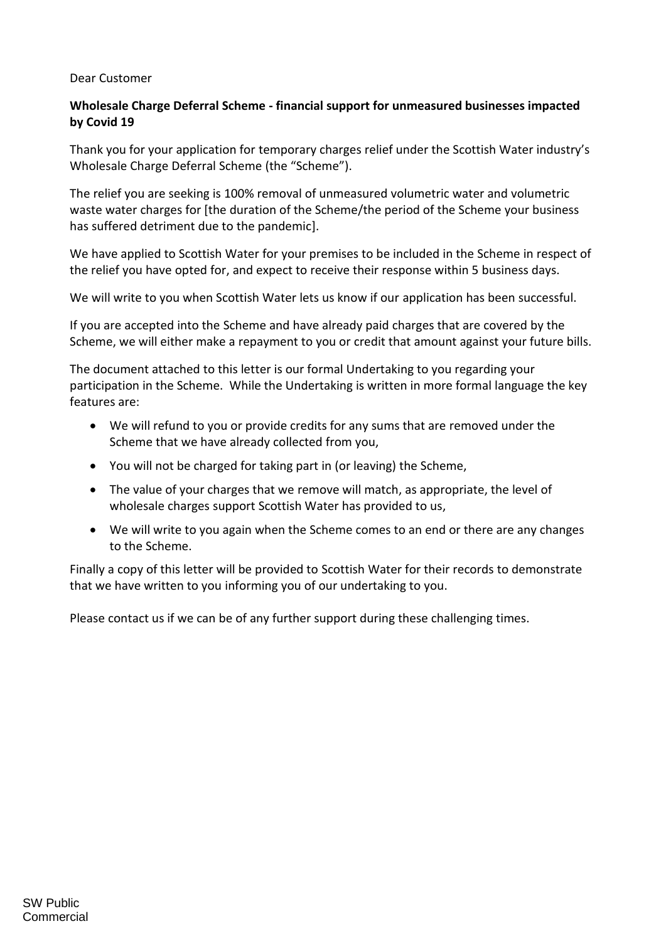## Dear Customer

## **Wholesale Charge Deferral Scheme - financial support for unmeasured businesses impacted by Covid 19**

Thank you for your application for temporary charges relief under the Scottish Water industry's Wholesale Charge Deferral Scheme (the "Scheme").

The relief you are seeking is 100% removal of unmeasured volumetric water and volumetric waste water charges for [the duration of the Scheme/the period of the Scheme your business has suffered detriment due to the pandemic].

We have applied to Scottish Water for your premises to be included in the Scheme in respect of the relief you have opted for, and expect to receive their response within 5 business days.

We will write to you when Scottish Water lets us know if our application has been successful.

If you are accepted into the Scheme and have already paid charges that are covered by the Scheme, we will either make a repayment to you or credit that amount against your future bills.

The document attached to this letter is our formal Undertaking to you regarding your participation in the Scheme. While the Undertaking is written in more formal language the key features are:

- We will refund to you or provide credits for any sums that are removed under the Scheme that we have already collected from you,
- You will not be charged for taking part in (or leaving) the Scheme,
- The value of your charges that we remove will match, as appropriate, the level of wholesale charges support Scottish Water has provided to us,
- We will write to you again when the Scheme comes to an end or there are any changes to the Scheme.

Finally a copy of this letter will be provided to Scottish Water for their records to demonstrate that we have written to you informing you of our undertaking to you.

Please contact us if we can be of any further support during these challenging times.